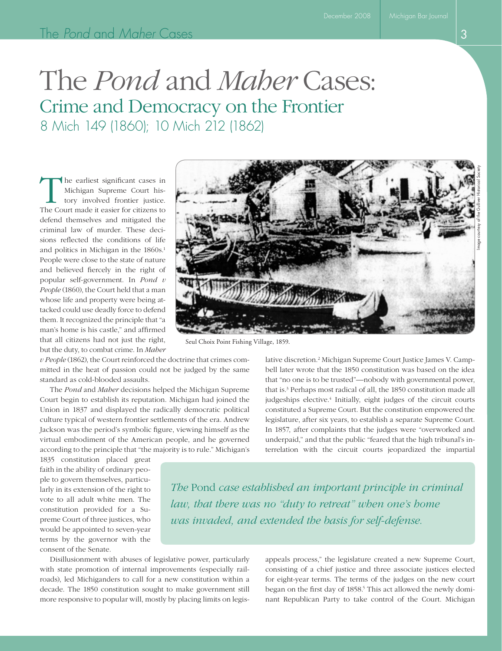## The *Pond* and *Maher* Cases: Crime and Democracy on the Frontier 8 Mich 149 (1860); 10 Mich 212 (1862)

The earliest significant cases in<br>Michigan Supreme Court his-<br>tory involved frontier justice.<br>The Court made it easier for citizens to Michigan Supreme Court history involved frontier justice. The Court made it easier for citizens to defend themselves and mitigated the criminal law of murder. These decisions reflected the conditions of life and politics in Michigan in the 1860s.<sup>1</sup> People were close to the state of nature and believed fiercely in the right of popular self-government. In *Pond v People* (1860), the Court held that a man whose life and property were being attacked could use deadly force to defend them. It recognized the principle that "a man's home is his castle," and affirmed that all citizens had not just the right, but the duty, to combat crime. In *Maher* 

*v People* (1862), the Court reinforced the doctrine that crimes committed in the heat of passion could not be judged by the same standard as cold-blooded assaults.

The *Pond* and *Maher* decisions helped the Michigan Supreme Court begin to establish its reputation. Michigan had joined the Union in 1837 and displayed the radically democratic political culture typical of western frontier settlements of the era. Andrew Jackson was the period's symbolic figure, viewing himself as the virtual embodiment of the American people, and he governed according to the principle that "the majority is to rule." Michigan's

1835 constitution placed great faith in the ability of ordinary people to govern themselves, particularly in its extension of the right to vote to all adult white men. The constitution provided for a Supreme Court of three justices, who would be appointed to seven-year terms by the governor with the consent of the Senate.

Disillusionment with abuses of legislative power, particularly with state promotion of internal improvements (especially railroads), led Michiganders to call for a new constitution within a decade. The 1850 constitution sought to make government still more responsive to popular will, mostly by placing limits on legis-

lative discretion.<sup>2</sup> Michigan Supreme Court Justice James V. Campbell later wrote that the 1850 constitution was based on the idea that "no one is to be trusted"—nobody with governmental power, that is.3 Perhaps most radical of all, the 1850 constitution made all judgeships elective.<sup>4</sup> Initially, eight judges of the circuit courts constituted a Supreme Court. But the constitution empowered the legislature, after six years, to establish a separate Supreme Court. In 1857, after complaints that the judges were "overworked and underpaid," and that the public "feared that the high tribunal's interrelation with the circuit courts jeopardized the impartial

*The* Pond *case established an important principle in criminal law, that there was no "duty to retreat" when one's home was invaded, and extended the basis for self-defense.*

> appeals process," the legislature created a new Supreme Court, consisting of a chief justice and three associate justices elected for eight-year terms. The terms of the judges on the new court began on the first day of 1858.<sup>5</sup> This act allowed the newly dominant Republican Party to take control of the Court. Michigan



Seul Choix Point Fishing Village, 1859.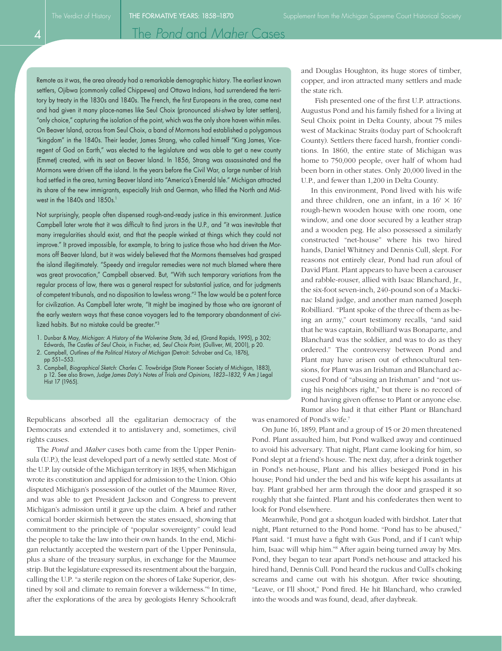## The *Pond* and *Maher* Cases

Remote as it was, the area already had a remarkable demographic history. The earliest known settlers, Ojibwa (commonly called Chippewa) and Ottawa Indians, had surrendered the territory by treaty in the 1830s and 1840s. The French, the first Europeans in the area, came next and had given it many place-names like Seul Choix (pronounced *shi-shwa* by later settlers), "only choice," capturing the isolation of the point, which was the only shore haven within miles. On Beaver Island, across from Seul Choix, a band of Mormons had established a polygamous "kingdom" in the 1840s. Their leader, James Strang, who called himself "King James, Viceregent of God on Earth," was elected to the legislature and was able to get a new county (Emmet) created, with its seat on Beaver Island. In 1856, Strang was assassinated and the Mormons were driven off the island. In the years before the Civil War, a large number of Irish had settled in the area, turning Beaver Island into "America's Emerald Isle." Michigan attracted its share of the new immigrants, especially Irish and German, who filled the North and Midwest in the 1840s and 1850s.<sup>1</sup>

Not surprisingly, people often dispensed rough-and-ready justice in this environment. Justice Campbell later wrote that it was difficult to find jurors in the U.P., and "it was inevitable that many irregularities should exist, and that the people winked at things which they could not improve." It proved impossible, for example, to bring to justice those who had driven the Mormons off Beaver Island, but it was widely believed that the Mormons themselves had grasped the island illegitimately. "Speedy and irregular remedies were not much blamed where there was great provocation," Campbell observed. But, "With such temporary variations from the regular process of law, there was a general respect for substantial justice, and for judgments of competent tribunals, and no disposition to lawless wrong."2 The law would be a potent force for civilization. As Campbell later wrote, "It might be imagined by those who are ignorant of the early western ways that these canoe voyagers led to the temporary abandonment of civilized habits. But no mistake could be greater."3

- 1. Dunbar & May, *Michigan: A History of the Wolverine State,* 3d ed, (Grand Rapids, 1995), p 302; Edwards, *The Castles of Seul Choix,* in Fischer, ed, *Seul Choix Point,* (Gulliver, MI, 2001), p 20.
- 2. Campbell, *Outlines of the Political History of Michigan* (Detroit: Schrober and Co, 1876), pp 551–553.
- 3. Campbell, *Biographical Sketch: Charles C. Trowbridge* (State Pioneer Society of Michigan, 1883), p 12. See also Brown, *Judge James Doty's Notes of Trials and Opinions, 1823–1832,* 9 Am J Legal Hist 17 (1965).

Republicans absorbed all the egalitarian democracy of the Democrats and extended it to antislavery and, sometimes, civil rights causes.

The *Pond* and *Maher* cases both came from the Upper Peninsula (U.P.), the least developed part of a newly settled state. Most of the U.P. lay outside of the Michigan territory in 1835, when Michigan wrote its constitution and applied for admission to the Union. Ohio disputed Michigan's possession of the outlet of the Maumee River, and was able to get President Jackson and Congress to prevent Michigan's admission until it gave up the claim. A brief and rather comical border skirmish between the states ensued, showing that commitment to the principle of "popular sovereignty" could lead the people to take the law into their own hands. In the end, Michigan reluctantly accepted the western part of the Upper Peninsula, plus a share of the treasury surplus, in exchange for the Maumee strip. But the legislature expressed its resentment about the bargain, calling the U.P. "a sterile region on the shores of Lake Superior, destined by soil and climate to remain forever a wilderness."6 In time, after the explorations of the area by geologists Henry Schoolcraft

and Douglas Houghton, its huge stores of timber, copper, and iron attracted many settlers and made the state rich.

 Fish presented one of the first U.P. attractions. Augustus Pond and his family fished for a living at Seul Choix point in Delta County, about 75 miles west of Mackinac Straits (today part of Schoolcraft County). Settlers there faced harsh, frontier conditions. In 1860, the entire state of Michigan was home to 750,000 people, over half of whom had been born in other states. Only 20,000 lived in the U.P., and fewer than 1,200 in Delta County.

In this environment, Pond lived with his wife and three children, one an infant, in a  $16' \times 16'$ rough-hewn wooden house with one room, one window, and one door secured by a leather strap and a wooden peg. He also possessed a similarly constructed "net-house" where his two hired hands, Daniel Whitney and Dennis Cull, slept. For reasons not entirely clear, Pond had run afoul of David Plant. Plant appears to have been a carouser and rabble-rouser, allied with Isaac Blanchard, Jr., the six-foot seven-inch, 240-pound son of a Mackinac Island judge, and another man named Joseph Robilliard. "Plant spoke of the three of them as being an army," court testimony recalls, "and said that he was captain, Robilliard was Bonaparte, and Blanchard was the soldier, and was to do as they ordered." The controversy between Pond and Plant may have arisen out of ethnocultural tensions, for Plant was an Irishman and Blanchard accused Pond of "abusing an Irishman" and "not using his neighbors right," but there is no record of Pond having given offense to Plant or anyone else. Rumor also had it that either Plant or Blanchard

was enamored of Pond's wife.7

On June 16, 1859, Plant and a group of 15 or 20 men threatened Pond. Plant assaulted him, but Pond walked away and continued to avoid his adversary. That night, Plant came looking for him, so Pond slept at a friend's house. The next day, after a drink together in Pond's net-house, Plant and his allies besieged Pond in his house; Pond hid under the bed and his wife kept his assailants at bay. Plant grabbed her arm through the door and grasped it so roughly that she fainted. Plant and his confederates then went to look for Pond elsewhere.

Meanwhile, Pond got a shotgun loaded with birdshot. Later that night, Plant returned to the Pond home. "Pond has to be abused," Plant said. "I must have a fight with Gus Pond, and if I can't whip him, Isaac will whip him."8 After again being turned away by Mrs. Pond, they began to tear apart Pond's net-house and attacked his hired hand, Dennis Cull. Pond heard the ruckus and Cull's choking screams and came out with his shotgun. After twice shouting, "Leave, or I'll shoot," Pond fired. He hit Blanchard, who crawled into the woods and was found, dead, after daybreak.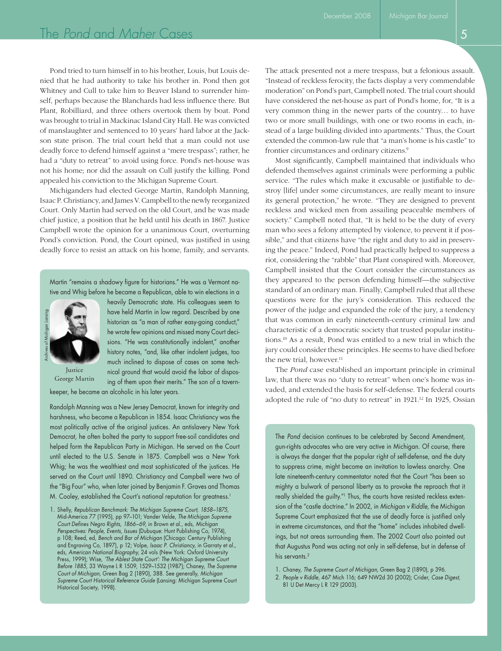Pond tried to turn himself in to his brother, Louis, but Louis denied that he had authority to take his brother in. Pond then got Whitney and Cull to take him to Beaver Island to surrender himself, perhaps because the Blanchards had less influence there. But Plant, Robilliard, and three others overtook them by boat. Pond was brought to trial in Mackinac Island City Hall. He was convicted of manslaughter and sentenced to 10 years' hard labor at the Jackson state prison. The trial court held that a man could not use deadly force to defend himself against a "mere trespass"; rather, he had a "duty to retreat" to avoid using force. Pond's net-house was not his home; nor did the assault on Cull justify the killing. Pond appealed his conviction to the Michigan Supreme Court.

Michiganders had elected George Martin, Randolph Manning, Isaac P. Christiancy, and James V. Campbell to the newly reorganized Court. Only Martin had served on the old Court, and he was made chief justice, a position that he held until his death in 1867. Justice Campbell wrote the opinion for a unanimous Court, overturning Pond's conviction. Pond, the Court opined, was justified in using deadly force to resist an attack on his home, family, and servants.

Martin "remains a shadowy figure for historians." He was a Vermont native and Whig before he became a Republican, able to win elections in a



heavily Democratic state. His colleagues seem to have held Martin in low regard. Described by one historian as "a man of rather easy-going conduct," he wrote few opinions and missed many Court decisions. "He was constitutionally indolent," another history notes, "and, like other indolent judges, too much inclined to dispose of cases on some technical ground that would avoid the labor of disposing of them upon their merits." The son of a tavern-

Justice George Martin

keeper, he became an alcoholic in his later years.

Randolph Manning was a New Jersey Democrat, known for integrity and harshness, who became a Republican in 1854. Isaac Christiancy was the most politically active of the original justices. An antislavery New York Democrat, he often bolted the party to support free-soil candidates and helped form the Republican Party in Michigan. He served on the Court until elected to the U.S. Senate in 1875. Campbell was a New York Whig; he was the wealthiest and most sophisticated of the justices. He served on the Court until 1890. Christiancy and Campbell were two of the "Big Four" who, when later joined by Benjamin F. Graves and Thomas M. Cooley, established the Court's national reputation for greatness.<sup>1</sup>

1. Shelly, *Republican Benchmark: The Michigan Supreme Court, 1858–1875,*  Mid-America 77 (1995), pp 97–101; Vander Velde, *The Michigan Supreme Court Defines Negro Rights, 1866–69,* in Brown et al., eds, *Michigan Perspectives: People, Events, Issues* (Dubuque: Hunt Publishing Co, 1974), p 108; Reed, ed, *Bench and Bar of Michigan* (Chicago: Century Publishing and Engraving Co, 1897), p 12; Volpe, *Isaac P. Christiancy,* in Garraty et al., eds, *American National Biography,* 24 vols (New York: Oxford University Press, 1999); Wise, *'The Ablest State Court': The Michigan Supreme Court Before 1885,* 33 Wayne L R 1509, 1529–1532 (1987); Chaney, *The Supreme Court of Michigan,* Green Bag 2 (1890), 388. See generally, *Michigan Supreme Court Historical Reference Guide* (Lansing: Michigan Supreme Court Historical Society, 1998).

The attack presented not a mere trespass, but a felonious assault. "Instead of reckless ferocity, the facts display a very commendable moderation" on Pond's part, Campbell noted. The trial court should have considered the net-house as part of Pond's home, for, "It is a very common thing in the newer parts of the country… to have two or more small buildings, with one or two rooms in each, instead of a large building divided into apartments." Thus, the Court extended the common-law rule that "a man's home is his castle" to frontier circumstances and ordinary citizens.<sup>9</sup>

Most significantly, Campbell maintained that individuals who defended themselves against criminals were performing a public service. "The rules which make it excusable or justifiable to destroy [life] under some circumstances, are really meant to insure its general protection," he wrote. "They are designed to prevent reckless and wicked men from assailing peaceable members of society." Campbell noted that, "It is held to be the duty of every man who sees a felony attempted by violence, to prevent it if possible," and that citizens have "the right and duty to aid in preserving the peace." Indeed, Pond had practically helped to suppress a riot, considering the "rabble" that Plant conspired with. Moreover, Campbell insisted that the Court consider the circumstances as they appeared to the person defending himself—the subjective standard of an ordinary man. Finally, Campbell ruled that all these questions were for the jury's consideration. This reduced the power of the judge and expanded the role of the jury, a tendency that was common in early nineteenth-century criminal law and characteristic of a democratic society that trusted popular institutions.10 As a result, Pond was entitled to a new trial in which the jury could consider these principles. He seems to have died before the new trial, however.<sup>11</sup>

The *Pond* case established an important principle in criminal law, that there was no "duty to retreat" when one's home was invaded, and extended the basis for self-defense. The federal courts adopted the rule of "no duty to retreat" in 1921.<sup>12</sup> In 1925, Ossian

The *Pond* decision continues to be celebrated by Second Amendment, gun-rights advocates who are very active in Michigan. Of course, there is always the danger that the popular right of self-defense, and the duty to suppress crime, might become an invitation to lawless anarchy. One late nineteenth-century commentator noted that the Court "has been so mighty a bulwark of personal liberty as to provoke the reproach that it really shielded the guilty."<sup>1</sup> Thus, the courts have resisted reckless extension of the "castle doctrine." In 2002, in *Michigan v Riddle,* the Michigan Supreme Court emphasized that the use of deadly force is justified only in extreme circumstances, and that the "home" includes inhabited dwellings, but not areas surrounding them. The 2002 Court also pointed out that Augustus Pond was acting not only in self-defense, but in defense of his servants.<sup>2</sup>

1. Chaney, *The Supreme Court of Michigan,* Green Bag 2 (1890), p 396.

2. *People v Riddle,* 467 Mich 116; 649 NW2d 30 (2002); Crider, *Case Digest,* 81 U Det Mercy L R 129 (2003).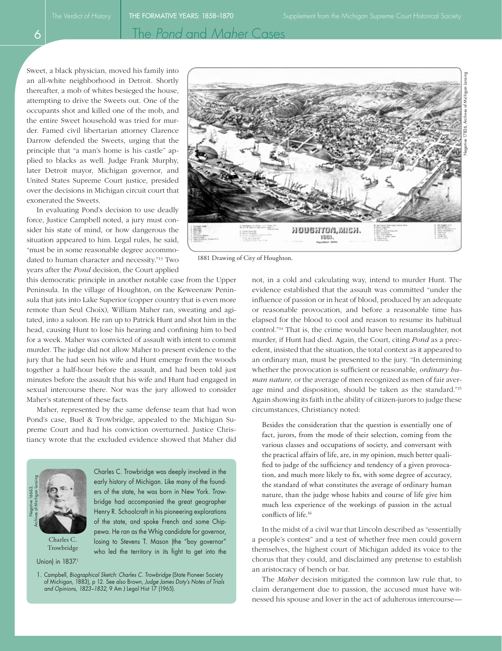## The *Pond* and *Maher* Cases

Sweet, a black physician, moved his family into an all-white neighborhood in Detroit. Shortly thereafter, a mob of whites besieged the house, attempting to drive the Sweets out. One of the occupants shot and killed one of the mob, and the entire Sweet household was tried for murder. Famed civil libertarian attorney Clarence Darrow defended the Sweets, urging that the principle that "a man's home is his castle" applied to blacks as well. Judge Frank Murphy, later Detroit mayor, Michigan governor, and United States Supreme Court justice, presided over the decisions in Michigan circuit court that exonerated the Sweets.

In evaluating Pond's decision to use deadly force, Justice Campbell noted, a jury must consider his state of mind, or how dangerous the situation appeared to him. Legal rules, he said, "must be in some reasonable degree accommodated to human character and necessity."13 Two years after the *Pond* decision, the Court applied



1881 Drawing of City of Houghton.

this democratic principle in another notable case from the Upper Peninsula. In the village of Houghton, on the Keweenaw Peninsula that juts into Lake Superior (copper country that is even more remote than Seul Choix), William Maher ran, sweating and agitated, into a saloon. He ran up to Patrick Hunt and shot him in the head, causing Hunt to lose his hearing and confining him to bed for a week. Maher was convicted of assault with intent to commit murder. The judge did not allow Maher to present evidence to the jury that he had seen his wife and Hunt emerge from the woods together a half-hour before the assault, and had been told just minutes before the assault that his wife and Hunt had engaged in sexual intercourse there. Nor was the jury allowed to consider Maher's statement of these facts.

Maher, represented by the same defense team that had won Pond's case, Buel & Trowbridge, appealed to the Michigan Supreme Court and had his conviction overturned. Justice Christiancy wrote that the excluded evidence showed that Maher did



Charles C. Trowbridge

Charles C. Trowbridge was deeply involved in the early history of Michigan. Like many of the founders of the state, he was born in New York. Trowbridge had accompanied the great geographer Henry R. Schoolcraft in his pioneering explorations of the state, and spoke French and some Chippewa. He ran as the Whig candidate for governor, losing to Stevens T. Mason (the "boy governor" who led the territory in its fight to get into the

Union) in 1837.<sup>1</sup>

1. Campbell, *Biographical Sketch: Charles C. Trowbridge* (State Pioneer Society of Michigan, 1883), p 12. See also Brown, *Judge James Doty's Notes of Trials and Opinions, 1823–1832,* 9 Am J Legal Hist 17 (1965).

not, in a cold and calculating way, intend to murder Hunt. The evidence established that the assault was committed "under the influence of passion or in heat of blood, produced by an adequate or reasonable provocation, and before a reasonable time has elapsed for the blood to cool and reason to resume its habitual control."14 That is, the crime would have been manslaughter, not murder, if Hunt had died. Again, the Court, citing *Pond* as a precedent, insisted that the situation, the total context as it appeared to an ordinary man, must be presented to the jury. "In determining whether the provocation is sufficient or reasonable, *ordinary human nature,* or the average of men recognized as men of fair average mind and disposition, should be taken as the standard."15 Again showing its faith in the ability of citizen-jurors to judge these circumstances, Christiancy noted:

Besides the consideration that the question is essentially one of fact, jurors, from the mode of their selection, coming from the various classes and occupations of society, and conversant with the practical affairs of life, are, in my opinion, much better qualified to judge of the sufficiency and tendency of a given provocation, and much more likely to fix, with some degree of accuracy, the standard of what constitutes the average of ordinary human nature, than the judge whose habits and course of life give him much less experience of the workings of passion in the actual conflicts of life.16

In the midst of a civil war that Lincoln described as "essentially a people's contest" and a test of whether free men could govern themselves, the highest court of Michigan added its voice to the chorus that they could, and disclaimed any pretense to establish an aristocracy of bench or bar.

The *Maher* decision mitigated the common law rule that, to claim derangement due to passion, the accused must have witnessed his spouse and lover in the act of adulterous intercourse